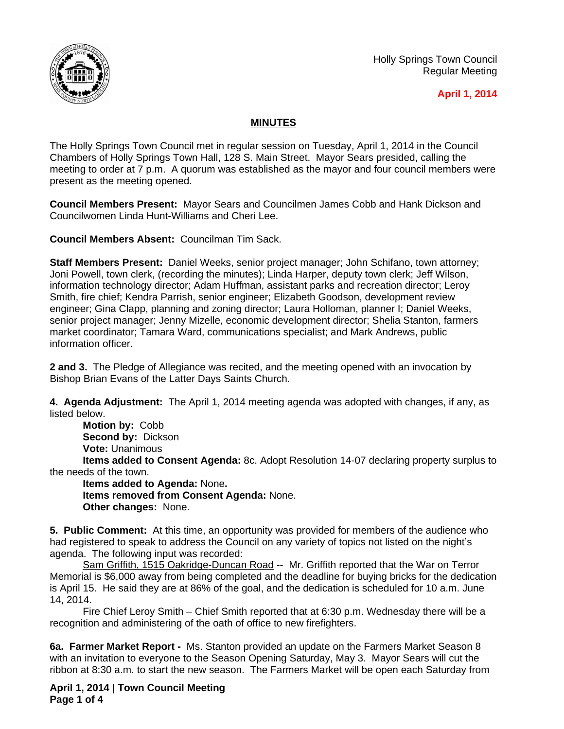

Holly Springs Town Council Regular Meeting

## **April 1, 2014**

## **MINUTES**

The Holly Springs Town Council met in regular session on Tuesday, April 1, 2014 in the Council Chambers of Holly Springs Town Hall, 128 S. Main Street. Mayor Sears presided, calling the meeting to order at 7 p.m. A quorum was established as the mayor and four council members were present as the meeting opened.

**Council Members Present:** Mayor Sears and Councilmen James Cobb and Hank Dickson and Councilwomen Linda Hunt-Williams and Cheri Lee.

**Council Members Absent:** Councilman Tim Sack.

**Staff Members Present:** Daniel Weeks, senior project manager; John Schifano, town attorney; Joni Powell, town clerk, (recording the minutes); Linda Harper, deputy town clerk; Jeff Wilson, information technology director; Adam Huffman, assistant parks and recreation director; Leroy Smith, fire chief; Kendra Parrish, senior engineer; Elizabeth Goodson, development review engineer; Gina Clapp, planning and zoning director; Laura Holloman, planner I; Daniel Weeks, senior project manager; Jenny Mizelle, economic development director; Shelia Stanton, farmers market coordinator; Tamara Ward, communications specialist; and Mark Andrews, public information officer.

**2 and 3.** The Pledge of Allegiance was recited, and the meeting opened with an invocation by Bishop Brian Evans of the Latter Days Saints Church.

**4. Agenda Adjustment:** The April 1, 2014 meeting agenda was adopted with changes, if any, as listed below.

**Motion by:** Cobb **Second by:** Dickson **Vote:** Unanimous

**Items added to Consent Agenda:** 8c. Adopt Resolution 14-07 declaring property surplus to the needs of the town.

**Items added to Agenda:** None**. Items removed from Consent Agenda:** None. **Other changes:** None.

**5. Public Comment:** At this time, an opportunity was provided for members of the audience who had registered to speak to address the Council on any variety of topics not listed on the night's agenda. The following input was recorded:

Sam Griffith, 1515 Oakridge-Duncan Road -- Mr. Griffith reported that the War on Terror Memorial is \$6,000 away from being completed and the deadline for buying bricks for the dedication is April 15. He said they are at 86% of the goal, and the dedication is scheduled for 10 a.m. June 14, 2014.

Fire Chief Leroy Smith – Chief Smith reported that at 6:30 p.m. Wednesday there will be a recognition and administering of the oath of office to new firefighters.

**6a. Farmer Market Report -** Ms. Stanton provided an update on the Farmers Market Season 8 with an invitation to everyone to the Season Opening Saturday, May 3. Mayor Sears will cut the ribbon at 8:30 a.m. to start the new season. The Farmers Market will be open each Saturday from

**April 1, 2014 | Town Council Meeting Page 1 of 4**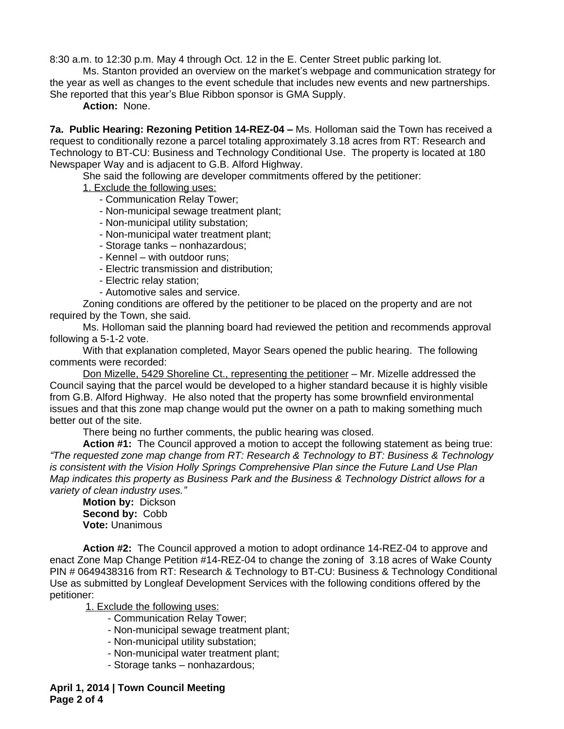8:30 a.m. to 12:30 p.m. May 4 through Oct. 12 in the E. Center Street public parking lot.

Ms. Stanton provided an overview on the market's webpage and communication strategy for the year as well as changes to the event schedule that includes new events and new partnerships. She reported that this year's Blue Ribbon sponsor is GMA Supply.

**Action:** None.

**7a. Public Hearing: Rezoning Petition 14-REZ-04 –** Ms. Holloman said the Town has received a request to conditionally rezone a parcel totaling approximately 3.18 acres from RT: Research and Technology to BT-CU: Business and Technology Conditional Use. The property is located at 180 Newspaper Way and is adjacent to G.B. Alford Highway.

She said the following are developer commitments offered by the petitioner:

1. Exclude the following uses:

- Communication Relay Tower;
- Non-municipal sewage treatment plant;
- Non-municipal utility substation;
- Non-municipal water treatment plant;
- Storage tanks nonhazardous;
- Kennel with outdoor runs;
- Electric transmission and distribution;
- Electric relay station;
- Automotive sales and service.

Zoning conditions are offered by the petitioner to be placed on the property and are not required by the Town, she said.

Ms. Holloman said the planning board had reviewed the petition and recommends approval following a 5-1-2 vote.

With that explanation completed, Mayor Sears opened the public hearing. The following comments were recorded:

Don Mizelle, 5429 Shoreline Ct., representing the petitioner - Mr. Mizelle addressed the Council saying that the parcel would be developed to a higher standard because it is highly visible from G.B. Alford Highway. He also noted that the property has some brownfield environmental issues and that this zone map change would put the owner on a path to making something much better out of the site.

There being no further comments, the public hearing was closed.

**Action #1:** The Council approved a motion to accept the following statement as being true: *"The requested zone map change from RT: Research & Technology to BT: Business & Technology is consistent with the Vision Holly Springs Comprehensive Plan since the Future Land Use Plan Map indicates this property as Business Park and the Business & Technology District allows for a variety of clean industry uses."*

**Motion by:** Dickson **Second by:** Cobb **Vote:** Unanimous

**Action #2:** The Council approved a motion to adopt ordinance 14-REZ-04 to approve and enact Zone Map Change Petition #14-REZ-04 to change the zoning of 3.18 acres of Wake County PIN # 0649438316 from RT: Research & Technology to BT-CU: Business & Technology Conditional Use as submitted by Longleaf Development Services with the following conditions offered by the petitioner:

1. Exclude the following uses:

- Communication Relay Tower;
- Non-municipal sewage treatment plant;
- Non-municipal utility substation;
- Non-municipal water treatment plant;
- Storage tanks nonhazardous;

**April 1, 2014 | Town Council Meeting Page 2 of 4**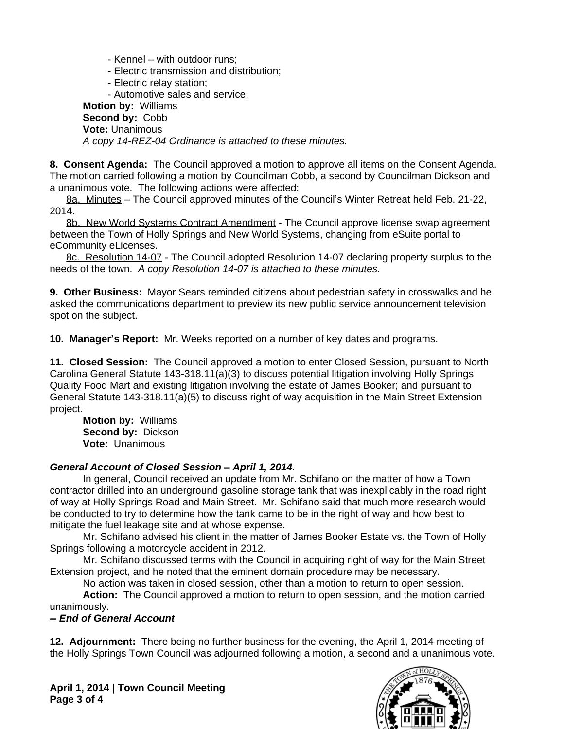- Kennel with outdoor runs;
- Electric transmission and distribution;
- Electric relay station;

- Automotive sales and service.

**Motion by:** Williams **Second by:** Cobb **Vote:** Unanimous *A copy 14-REZ-04 Ordinance is attached to these minutes.*

**8. Consent Agenda:** The Council approved a motion to approve all items on the Consent Agenda. The motion carried following a motion by Councilman Cobb, a second by Councilman Dickson and a unanimous vote. The following actions were affected:

8a. Minutes – The Council approved minutes of the Council's Winter Retreat held Feb. 21-22, 2014.

8b. New World Systems Contract Amendment - The Council approve license swap agreement between the Town of Holly Springs and New World Systems, changing from eSuite portal to eCommunity eLicenses.

8c. Resolution 14-07 - The Council adopted Resolution 14-07 declaring property surplus to the needs of the town.*A copy Resolution 14-07 is attached to these minutes.*

**9. Other Business:** Mayor Sears reminded citizens about pedestrian safety in crosswalks and he asked the communications department to preview its new public service announcement television spot on the subject.

**10. Manager's Report:** Mr. Weeks reported on a number of key dates and programs.

**11. Closed Session:** The Council approved a motion to enter Closed Session, pursuant to North Carolina General Statute 143-318.11(a)(3) to discuss potential litigation involving Holly Springs Quality Food Mart and existing litigation involving the estate of James Booker; and pursuant to General Statute 143-318.11(a)(5) to discuss right of way acquisition in the Main Street Extension project.

**Motion by:** Williams **Second by:** Dickson **Vote:** Unanimous

## *General Account of Closed Session – April 1, 2014.*

In general, Council received an update from Mr. Schifano on the matter of how a Town contractor drilled into an underground gasoline storage tank that was inexplicably in the road right of way at Holly Springs Road and Main Street. Mr. Schifano said that much more research would be conducted to try to determine how the tank came to be in the right of way and how best to mitigate the fuel leakage site and at whose expense.

Mr. Schifano advised his client in the matter of James Booker Estate vs. the Town of Holly Springs following a motorcycle accident in 2012.

Mr. Schifano discussed terms with the Council in acquiring right of way for the Main Street Extension project, and he noted that the eminent domain procedure may be necessary.

No action was taken in closed session, other than a motion to return to open session.

**Action:** The Council approved a motion to return to open session, and the motion carried unanimously.

## *-- End of General Account*

**12. Adjournment:** There being no further business for the evening, the April 1, 2014 meeting of the Holly Springs Town Council was adjourned following a motion, a second and a unanimous vote.

**April 1, 2014 | Town Council Meeting Page 3 of 4**